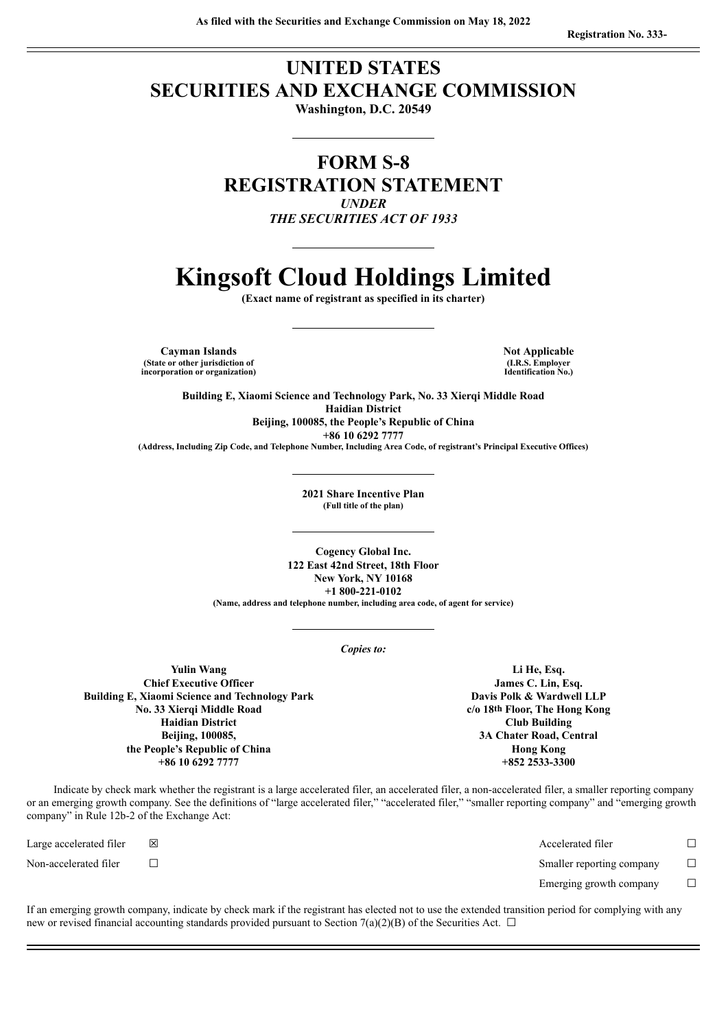# **UNITED STATES SECURITIES AND EXCHANGE COMMISSION**

**Washington, D.C. 20549**

# **FORM S-8 REGISTRATION STATEMENT** *UNDER THE SECURITIES ACT OF 1933*

# **Kingsoft Cloud Holdings Limited**

**(Exact name of registrant as specified in its charter)**

**Cayman Islands Not Applicable (State or other jurisdiction of incorporation or organization)**

**(I.R.S. Employer Identification No.)**

**Building E, Xiaomi Science and Technology Park, No. 33 Xierqi Middle Road Haidian District Beijing, 100085, the People's Republic of China +86 10 6292 7777 (Address, Including Zip Code, and Telephone Number, Including Area Code, of registrant's Principal Executive Offices)**

> **2021 Share Incentive Plan (Full title of the plan)**

**Cogency Global Inc. 122 East 42nd Street, 18th Floor New York, NY 10168 +1 800-221-0102 (Name, address and telephone number, including area code, of agent for service)**

*Copies to:*

**Yulin Wang Chief Executive Officer Building E, Xiaomi Science and Technology Park No. 33 Xierqi Middle Road Haidian District Beijing, 100085, the People's Republic of China +86 10 6292 7777**

**Li He, Esq. James C. Lin, Esq. Davis Polk & Wardwell LLP c/o 18th Floor, The Hong Kong Club Building 3A Chater Road, Central Hong Kong +852 2533-3300**

Indicate by check mark whether the registrant is a large accelerated filer, an accelerated filer, a non-accelerated filer, a smaller reporting company or an emerging growth company. See the definitions of "large accelerated filer," "accelerated filer," "smaller reporting company" and "emerging growth company" in Rule 12b-2 of the Exchange Act:

Large accelerated filer ☒ Accelerated filer ☐ Non-accelerated filer ☐ Smaller reporting company ☐ Emerging growth company  $\Box$ 

If an emerging growth company, indicate by check mark if the registrant has elected not to use the extended transition period for complying with any new or revised financial accounting standards provided pursuant to Section 7(a)(2)(B) of the Securities Act.  $\Box$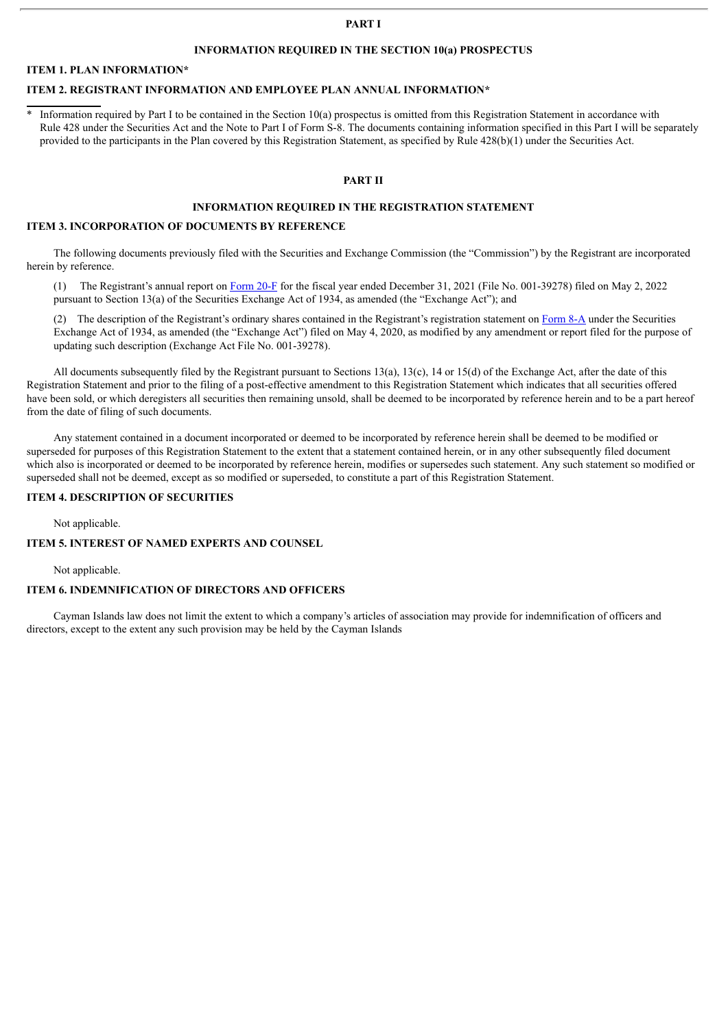## **PART I**

# **INFORMATION REQUIRED IN THE SECTION 10(a) PROSPECTUS**

# **ITEM 1. PLAN INFORMATION\***

# **ITEM 2. REGISTRANT INFORMATION AND EMPLOYEE PLAN ANNUAL INFORMATION\***

\* Information required by Part I to be contained in the Section 10(a) prospectus is omitted from this Registration Statement in accordance with Rule 428 under the Securities Act and the Note to Part I of Form S-8. The documents containing information specified in this Part I will be separately provided to the participants in the Plan covered by this Registration Statement, as specified by Rule 428(b)(1) under the Securities Act.

#### **PART II**

# **INFORMATION REQUIRED IN THE REGISTRATION STATEMENT**

#### **ITEM 3. INCORPORATION OF DOCUMENTS BY REFERENCE**

The following documents previously filed with the Securities and Exchange Commission (the "Commission") by the Registrant are incorporated herein by reference.

(1) The Registrant's annual report on [Form](http://www.sec.gov/Archives/edgar/data/1795589/000119312522135476/d247625d20f.htm) 20-F for the fiscal year ended December 31, 2021 (File No. 001-39278) filed on May 2, 2022 pursuant to Section 13(a) of the Securities Exchange Act of 1934, as amended (the "Exchange Act"); and

(2) The description of the Registrant's ordinary shares contained in the Registrant's registration statement on [Form](http://www.sec.gov/Archives/edgar/data/1795589/000119312520131732/d920171d8a12b.htm) 8-A under the Securities Exchange Act of 1934, as amended (the "Exchange Act") filed on May 4, 2020, as modified by any amendment or report filed for the purpose of updating such description (Exchange Act File No. 001-39278).

All documents subsequently filed by the Registrant pursuant to Sections 13(a), 13(c), 14 or 15(d) of the Exchange Act, after the date of this Registration Statement and prior to the filing of a post-effective amendment to this Registration Statement which indicates that all securities offered have been sold, or which deregisters all securities then remaining unsold, shall be deemed to be incorporated by reference herein and to be a part hereof from the date of filing of such documents.

Any statement contained in a document incorporated or deemed to be incorporated by reference herein shall be deemed to be modified or superseded for purposes of this Registration Statement to the extent that a statement contained herein, or in any other subsequently filed document which also is incorporated or deemed to be incorporated by reference herein, modifies or supersedes such statement. Any such statement so modified or superseded shall not be deemed, except as so modified or superseded, to constitute a part of this Registration Statement.

## **ITEM 4. DESCRIPTION OF SECURITIES**

Not applicable.

# **ITEM 5. INTEREST OF NAMED EXPERTS AND COUNSEL**

Not applicable.

#### **ITEM 6. INDEMNIFICATION OF DIRECTORS AND OFFICERS**

Cayman Islands law does not limit the extent to which a company's articles of association may provide for indemnification of officers and directors, except to the extent any such provision may be held by the Cayman Islands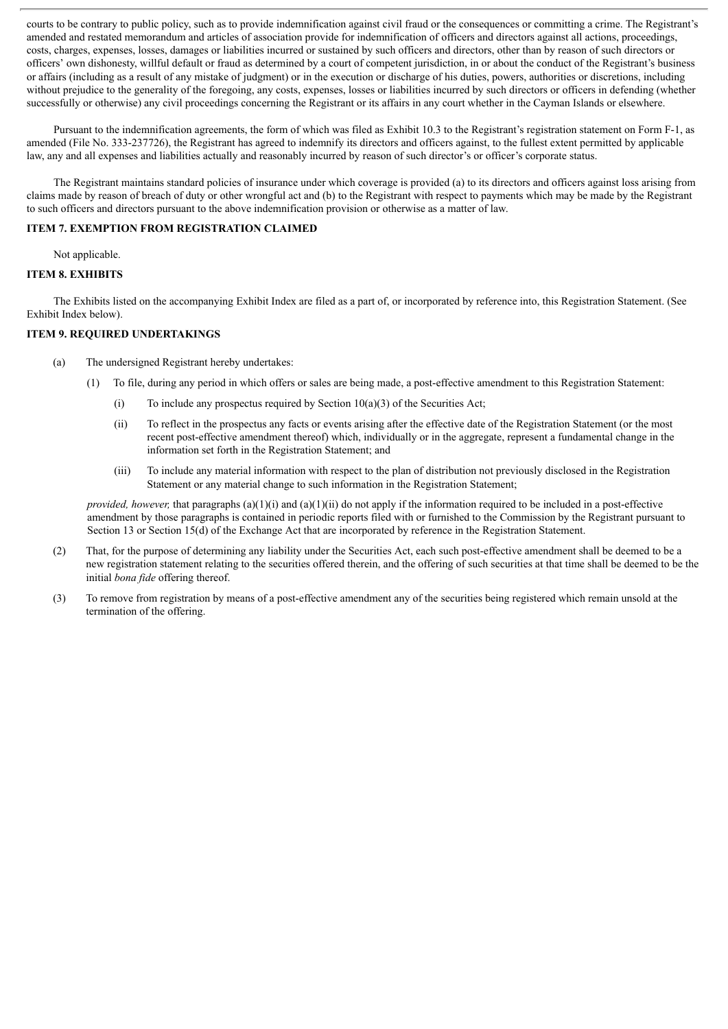courts to be contrary to public policy, such as to provide indemnification against civil fraud or the consequences or committing a crime. The Registrant's amended and restated memorandum and articles of association provide for indemnification of officers and directors against all actions, proceedings, costs, charges, expenses, losses, damages or liabilities incurred or sustained by such officers and directors, other than by reason of such directors or officers' own dishonesty, willful default or fraud as determined by a court of competent jurisdiction, in or about the conduct of the Registrant's business or affairs (including as a result of any mistake of judgment) or in the execution or discharge of his duties, powers, authorities or discretions, including without prejudice to the generality of the foregoing, any costs, expenses, losses or liabilities incurred by such directors or officers in defending (whether successfully or otherwise) any civil proceedings concerning the Registrant or its affairs in any court whether in the Cayman Islands or elsewhere.

Pursuant to the indemnification agreements, the form of which was filed as Exhibit 10.3 to the Registrant's registration statement on Form F-1, as amended (File No. 333-237726), the Registrant has agreed to indemnify its directors and officers against, to the fullest extent permitted by applicable law, any and all expenses and liabilities actually and reasonably incurred by reason of such director's or officer's corporate status.

The Registrant maintains standard policies of insurance under which coverage is provided (a) to its directors and officers against loss arising from claims made by reason of breach of duty or other wrongful act and (b) to the Registrant with respect to payments which may be made by the Registrant to such officers and directors pursuant to the above indemnification provision or otherwise as a matter of law.

# **ITEM 7. EXEMPTION FROM REGISTRATION CLAIMED**

Not applicable.

# **ITEM 8. EXHIBITS**

The Exhibits listed on the accompanying Exhibit Index are filed as a part of, or incorporated by reference into, this Registration Statement. (See Exhibit Index below).

# **ITEM 9. REQUIRED UNDERTAKINGS**

- (a) The undersigned Registrant hereby undertakes:
	- (1) To file, during any period in which offers or sales are being made, a post-effective amendment to this Registration Statement:
		- (i) To include any prospectus required by Section  $10(a)(3)$  of the Securities Act;
		- (ii) To reflect in the prospectus any facts or events arising after the effective date of the Registration Statement (or the most recent post-effective amendment thereof) which, individually or in the aggregate, represent a fundamental change in the information set forth in the Registration Statement; and
		- (iii) To include any material information with respect to the plan of distribution not previously disclosed in the Registration Statement or any material change to such information in the Registration Statement;

*provided, however,* that paragraphs (a)(1)(i) and (a)(1)(ii) do not apply if the information required to be included in a post-effective amendment by those paragraphs is contained in periodic reports filed with or furnished to the Commission by the Registrant pursuant to Section 13 or Section 15(d) of the Exchange Act that are incorporated by reference in the Registration Statement.

- (2) That, for the purpose of determining any liability under the Securities Act, each such post-effective amendment shall be deemed to be a new registration statement relating to the securities offered therein, and the offering of such securities at that time shall be deemed to be the initial *bona fide* offering thereof.
- (3) To remove from registration by means of a post-effective amendment any of the securities being registered which remain unsold at the termination of the offering.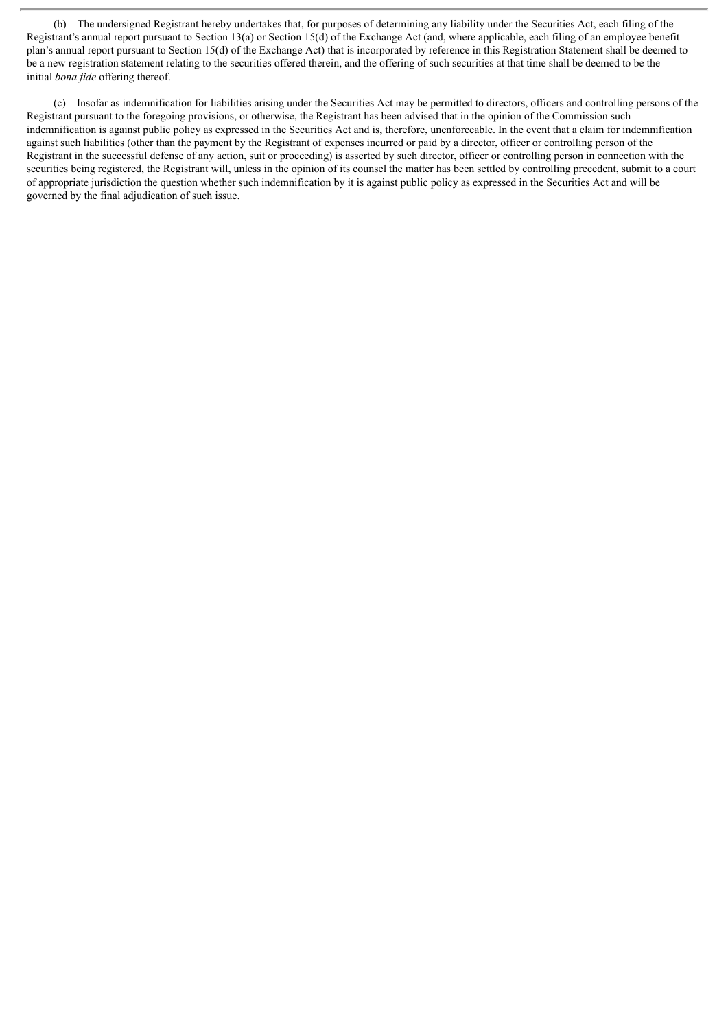(b) The undersigned Registrant hereby undertakes that, for purposes of determining any liability under the Securities Act, each filing of the Registrant's annual report pursuant to Section 13(a) or Section 15(d) of the Exchange Act (and, where applicable, each filing of an employee benefit plan's annual report pursuant to Section 15(d) of the Exchange Act) that is incorporated by reference in this Registration Statement shall be deemed to be a new registration statement relating to the securities offered therein, and the offering of such securities at that time shall be deemed to be the initial *bona fide* offering thereof.

(c) Insofar as indemnification for liabilities arising under the Securities Act may be permitted to directors, officers and controlling persons of the Registrant pursuant to the foregoing provisions, or otherwise, the Registrant has been advised that in the opinion of the Commission such indemnification is against public policy as expressed in the Securities Act and is, therefore, unenforceable. In the event that a claim for indemnification against such liabilities (other than the payment by the Registrant of expenses incurred or paid by a director, officer or controlling person of the Registrant in the successful defense of any action, suit or proceeding) is asserted by such director, officer or controlling person in connection with the securities being registered, the Registrant will, unless in the opinion of its counsel the matter has been settled by controlling precedent, submit to a court of appropriate jurisdiction the question whether such indemnification by it is against public policy as expressed in the Securities Act and will be governed by the final adjudication of such issue.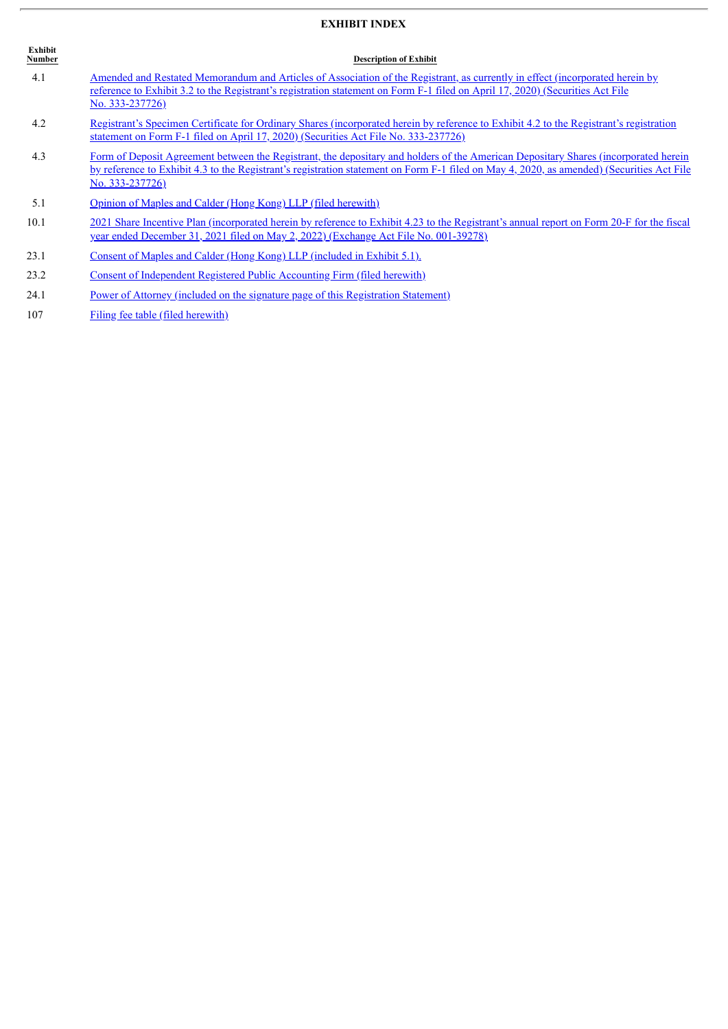# **EXHIBIT INDEX**

| <b>Exhibit</b><br>Number | <b>Description of Exhibit</b>                                                                                                                                                                                                                                                                       |
|--------------------------|-----------------------------------------------------------------------------------------------------------------------------------------------------------------------------------------------------------------------------------------------------------------------------------------------------|
| 4.1                      | Amended and Restated Memorandum and Articles of Association of the Registrant, as currently in effect (incorporated herein by<br>reference to Exhibit 3.2 to the Registrant's registration statement on Form F-1 filed on April 17, 2020) (Securities Act File<br>No. 333-237726)                   |
| 4.2                      | Registrant's Specimen Certificate for Ordinary Shares (incorporated herein by reference to Exhibit 4.2 to the Registrant's registration<br>statement on Form F-1 filed on April 17, 2020) (Securities Act File No. 333-237726)                                                                      |
| 4.3                      | Form of Deposit Agreement between the Registrant, the depositary and holders of the American Depositary Shares (incorporated herein<br>by reference to Exhibit 4.3 to the Registrant's registration statement on Form F-1 filed on May 4, 2020, as amended) (Securities Act File<br>No. 333-237726) |
| 5.1                      | <b>Opinion of Maples and Calder (Hong Kong) LLP (filed herewith)</b>                                                                                                                                                                                                                                |
| 10.1                     | 2021 Share Incentive Plan (incorporated herein by reference to Exhibit 4.23 to the Registrant's annual report on Form 20-F for the fiscal<br>year ended December 31, 2021 filed on May 2, 2022) (Exchange Act File No. 001-39278)                                                                   |
| 23.1                     | Consent of Maples and Calder (Hong Kong) LLP (included in Exhibit 5.1).                                                                                                                                                                                                                             |
| 23.2                     | Consent of Independent Registered Public Accounting Firm (filed herewith)                                                                                                                                                                                                                           |
| 24.1                     | <u>Power of Attorney (included on the signature page of this Registration Statement)</u>                                                                                                                                                                                                            |
| 107                      | Filing fee table (filed herewith)                                                                                                                                                                                                                                                                   |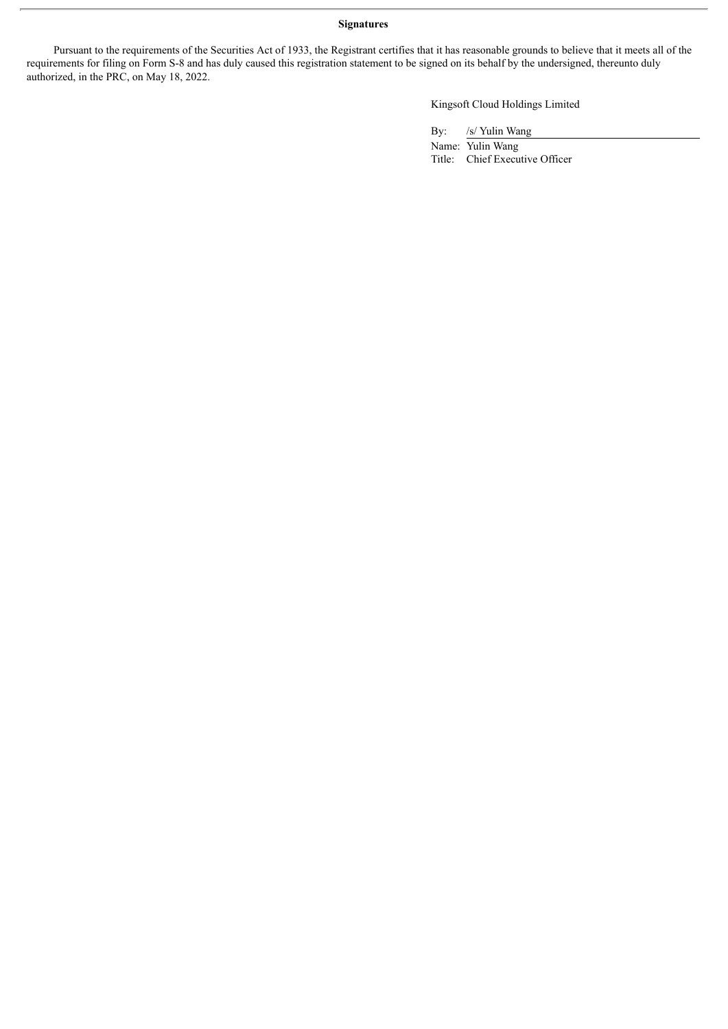# **Signatures**

Pursuant to the requirements of the Securities Act of 1933, the Registrant certifies that it has reasonable grounds to believe that it meets all of the requirements for filing on Form S-8 and has duly caused this registration statement to be signed on its behalf by the undersigned, thereunto duly authorized, in the PRC, on May 18, 2022.

Kingsoft Cloud Holdings Limited

By: /s/ Yulin Wang

Name: Yulin Wang Title: Chief Executive Officer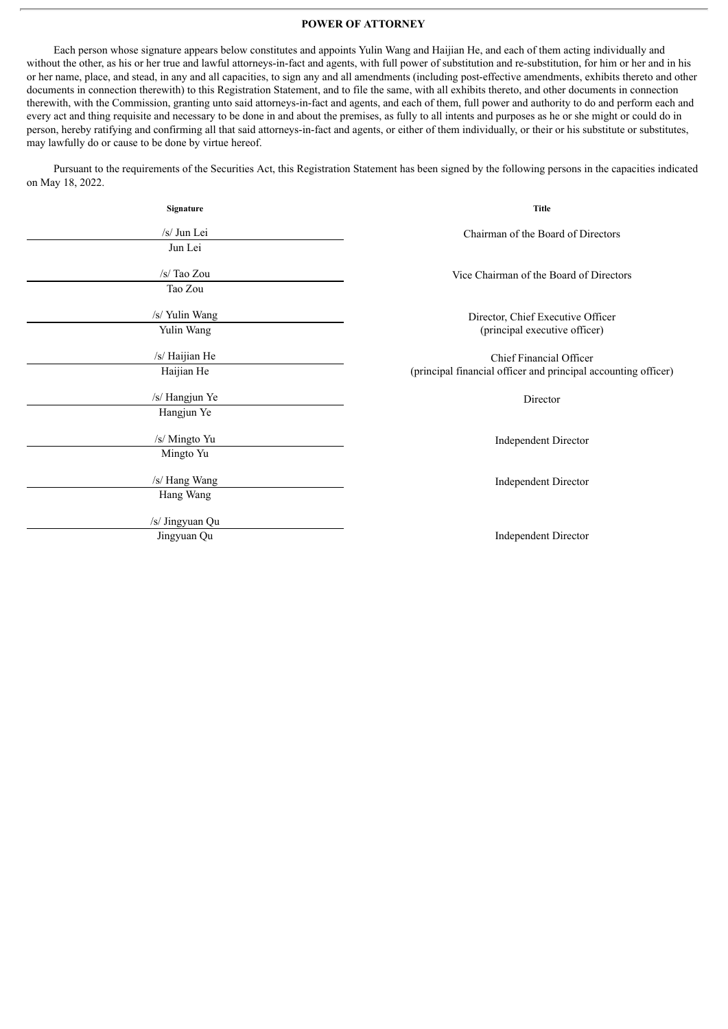# **POWER OF ATTORNEY**

<span id="page-6-0"></span>Each person whose signature appears below constitutes and appoints Yulin Wang and Haijian He, and each of them acting individually and without the other, as his or her true and lawful attorneys-in-fact and agents, with full power of substitution and re-substitution, for him or her and in his or her name, place, and stead, in any and all capacities, to sign any and all amendments (including post-effective amendments, exhibits thereto and other documents in connection therewith) to this Registration Statement, and to file the same, with all exhibits thereto, and other documents in connection therewith, with the Commission, granting unto said attorneys-in-fact and agents, and each of them, full power and authority to do and perform each and every act and thing requisite and necessary to be done in and about the premises, as fully to all intents and purposes as he or she might or could do in person, hereby ratifying and confirming all that said attorneys-in-fact and agents, or either of them individually, or their or his substitute or substitutes, may lawfully do or cause to be done by virtue hereof.

Pursuant to the requirements of the Securities Act, this Registration Statement has been signed by the following persons in the capacities indicated on May 18, 2022.

| Signature       | Title                                                              |  |  |  |
|-----------------|--------------------------------------------------------------------|--|--|--|
| /s/ Jun Lei     | Chairman of the Board of Directors                                 |  |  |  |
| Jun Lei         |                                                                    |  |  |  |
| /s/ Tao Zou     | Vice Chairman of the Board of Directors                            |  |  |  |
| Tao Zou         |                                                                    |  |  |  |
| /s/ Yulin Wang  | Director, Chief Executive Officer<br>(principal executive officer) |  |  |  |
| Yulin Wang      |                                                                    |  |  |  |
| /s/ Haijian He  | Chief Financial Officer                                            |  |  |  |
| Haijian He      | (principal financial officer and principal accounting officer)     |  |  |  |
| /s/ Hangjun Ye  | Director                                                           |  |  |  |
| Hangjun Ye      |                                                                    |  |  |  |
| /s/ Mingto Yu   | Independent Director                                               |  |  |  |
| Mingto Yu       |                                                                    |  |  |  |
| /s/ Hang Wang   | <b>Independent Director</b>                                        |  |  |  |
| Hang Wang       |                                                                    |  |  |  |
| /s/ Jingyuan Qu |                                                                    |  |  |  |
| Jingyuan Qu     | <b>Independent Director</b>                                        |  |  |  |
|                 |                                                                    |  |  |  |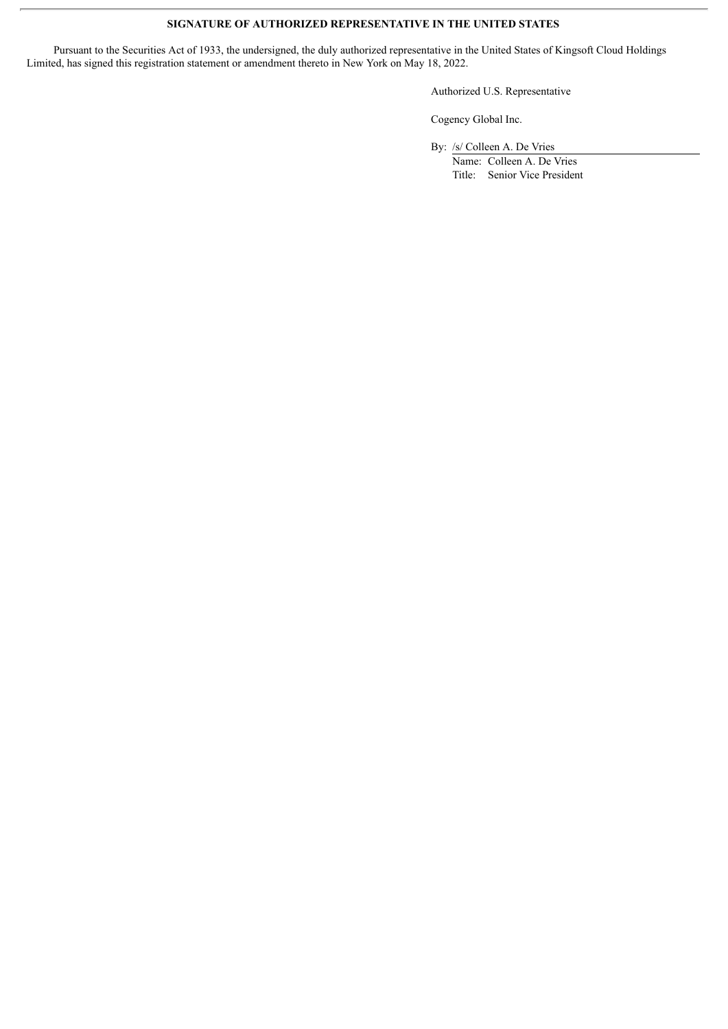# **SIGNATURE OF AUTHORIZED REPRESENTATIVE IN THE UNITED STATES**

Pursuant to the Securities Act of 1933, the undersigned, the duly authorized representative in the United States of Kingsoft Cloud Holdings Limited, has signed this registration statement or amendment thereto in New York on May 18, 2022.

Authorized U.S. Representative

Cogency Global Inc.

By: /s/ Colleen A. De Vries

Name: Colleen A. De Vries Title: Senior Vice President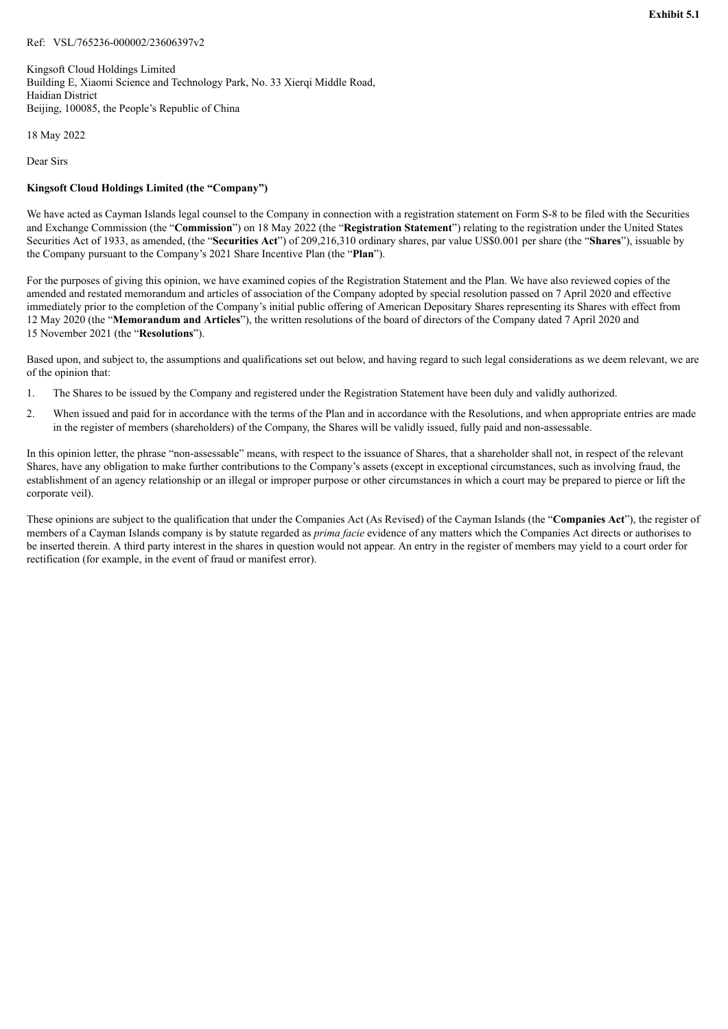<span id="page-8-0"></span>Kingsoft Cloud Holdings Limited Building E, Xiaomi Science and Technology Park, No. 33 Xierqi Middle Road, Haidian District Beijing, 100085, the People's Republic of China

18 May 2022

Dear Sirs

# **Kingsoft Cloud Holdings Limited (the "Company")**

We have acted as Cayman Islands legal counsel to the Company in connection with a registration statement on Form S-8 to be filed with the Securities and Exchange Commission (the "**Commission**") on 18 May 2022 (the "**Registration Statement**") relating to the registration under the United States Securities Act of 1933, as amended, (the "**Securities Act**") of 209,216,310 ordinary shares, par value US\$0.001 per share (the "**Shares**"), issuable by the Company pursuant to the Company's 2021 Share Incentive Plan (the "**Plan**").

For the purposes of giving this opinion, we have examined copies of the Registration Statement and the Plan. We have also reviewed copies of the amended and restated memorandum and articles of association of the Company adopted by special resolution passed on 7 April 2020 and effective immediately prior to the completion of the Company's initial public offering of American Depositary Shares representing its Shares with effect from 12 May 2020 (the "**Memorandum and Articles**"), the written resolutions of the board of directors of the Company dated 7 April 2020 and 15 November 2021 (the "**Resolutions**").

Based upon, and subject to, the assumptions and qualifications set out below, and having regard to such legal considerations as we deem relevant, we are of the opinion that:

- 1. The Shares to be issued by the Company and registered under the Registration Statement have been duly and validly authorized.
- 2. When issued and paid for in accordance with the terms of the Plan and in accordance with the Resolutions, and when appropriate entries are made in the register of members (shareholders) of the Company, the Shares will be validly issued, fully paid and non-assessable.

In this opinion letter, the phrase "non-assessable" means, with respect to the issuance of Shares, that a shareholder shall not, in respect of the relevant Shares, have any obligation to make further contributions to the Company's assets (except in exceptional circumstances, such as involving fraud, the establishment of an agency relationship or an illegal or improper purpose or other circumstances in which a court may be prepared to pierce or lift the corporate veil).

These opinions are subject to the qualification that under the Companies Act (As Revised) of the Cayman Islands (the "**Companies Act**"), the register of members of a Cayman Islands company is by statute regarded as *prima facie* evidence of any matters which the Companies Act directs or authorises to be inserted therein. A third party interest in the shares in question would not appear. An entry in the register of members may yield to a court order for rectification (for example, in the event of fraud or manifest error).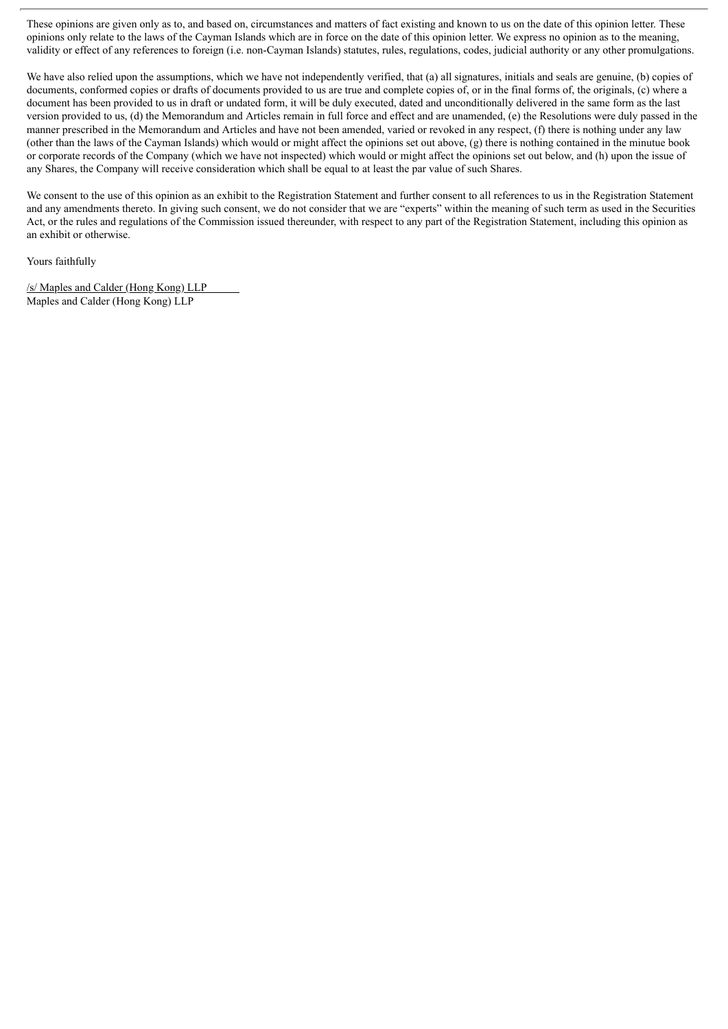These opinions are given only as to, and based on, circumstances and matters of fact existing and known to us on the date of this opinion letter. These opinions only relate to the laws of the Cayman Islands which are in force on the date of this opinion letter. We express no opinion as to the meaning, validity or effect of any references to foreign (i.e. non-Cayman Islands) statutes, rules, regulations, codes, judicial authority or any other promulgations.

We have also relied upon the assumptions, which we have not independently verified, that (a) all signatures, initials and seals are genuine, (b) copies of documents, conformed copies or drafts of documents provided to us are true and complete copies of, or in the final forms of, the originals, (c) where a document has been provided to us in draft or undated form, it will be duly executed, dated and unconditionally delivered in the same form as the last version provided to us, (d) the Memorandum and Articles remain in full force and effect and are unamended, (e) the Resolutions were duly passed in the manner prescribed in the Memorandum and Articles and have not been amended, varied or revoked in any respect, (f) there is nothing under any law (other than the laws of the Cayman Islands) which would or might affect the opinions set out above, (g) there is nothing contained in the minutue book or corporate records of the Company (which we have not inspected) which would or might affect the opinions set out below, and (h) upon the issue of any Shares, the Company will receive consideration which shall be equal to at least the par value of such Shares.

We consent to the use of this opinion as an exhibit to the Registration Statement and further consent to all references to us in the Registration Statement and any amendments thereto. In giving such consent, we do not consider that we are "experts" within the meaning of such term as used in the Securities Act, or the rules and regulations of the Commission issued thereunder, with respect to any part of the Registration Statement, including this opinion as an exhibit or otherwise.

Yours faithfully

/s/ Maples and Calder (Hong Kong) LLP Maples and Calder (Hong Kong) LLP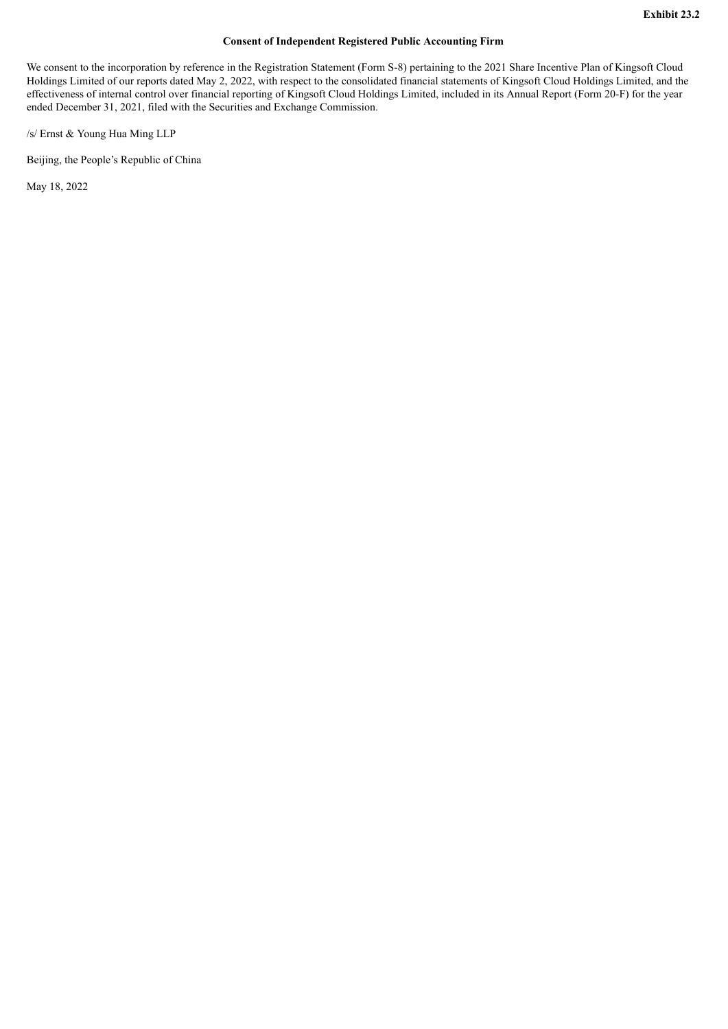# **Consent of Independent Registered Public Accounting Firm**

<span id="page-10-0"></span>We consent to the incorporation by reference in the Registration Statement (Form S-8) pertaining to the 2021 Share Incentive Plan of Kingsoft Cloud Holdings Limited of our reports dated May 2, 2022, with respect to the consolidated financial statements of Kingsoft Cloud Holdings Limited, and the effectiveness of internal control over financial reporting of Kingsoft Cloud Holdings Limited, included in its Annual Report (Form 20-F) for the year ended December 31, 2021, filed with the Securities and Exchange Commission.

/s/ Ernst & Young Hua Ming LLP

Beijing, the People's Republic of China

May 18, 2022